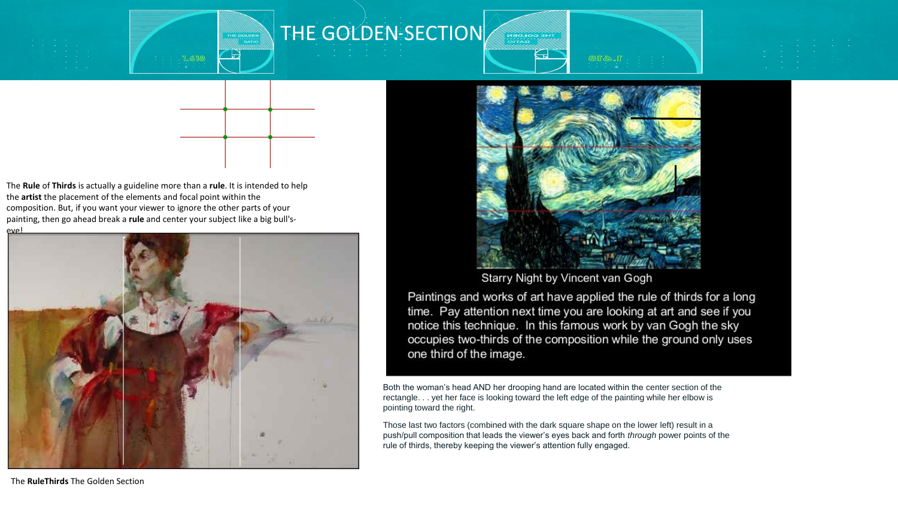

THE GOLDEN SECTION





The **Rule** of **Thirds** is actually a guideline more than a **rule**. It is intended to help the **artist** the placement of the elements and focal point within the composition. But, if you want your viewer to ignore the other parts of your painting, then go ahead break a **rule** and center your subject like a big bull'seye!





Starry Night by Vincent van Gogh

Paintings and works of art have applied the rule of thirds for a long time. Pay attention next time you are looking at art and see if you notice this technique. In this famous work by van Gogh the sky occupies two-thirds of the composition while the ground only uses one third of the image.

Both the woman's head AND her drooping hand are located within the center section of the rectangle. . . yet her face is looking toward the left edge of the painting while her elbow is pointing toward the right.

Those last two factors (combined with the dark square shape on the lower left) result in a push/pull composition that leads the viewer's eyes back and forth *through* power points of the rule of thirds, thereby keeping the viewer's attention fully engaged.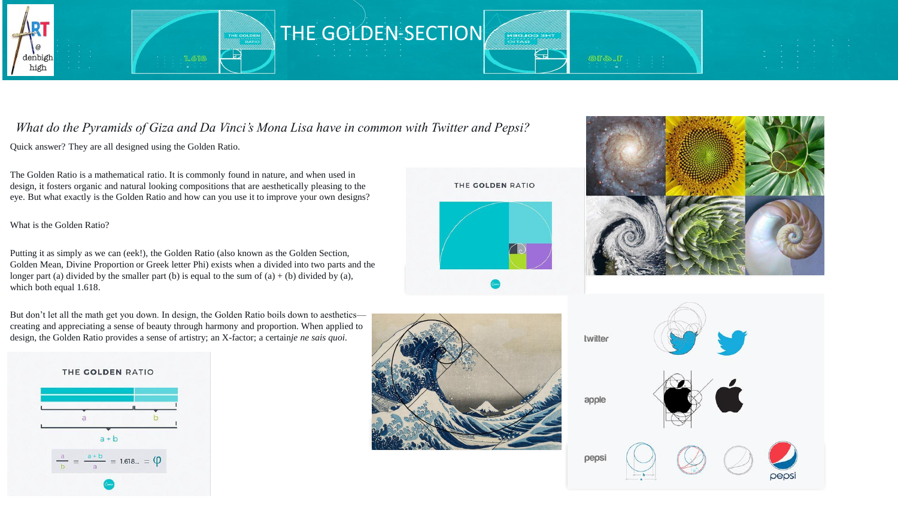



## *What do the Pyramids of Giza and Da Vinci's Mona Lisa have in common with Twitter and Pepsi?*

Quick answer? They are all designed using the Golden Ratio.

The Golden Ratio is a mathematical ratio. It is commonly found in nature, and when used in design, it fosters organic and natural looking compositions that are aesthetically pleasing to the eye. But what exactly is the Golden Ratio and how can you use it to improve your own designs?

What is the Golden Ratio?

Putting it as simply as we can (eek!), the Golden Ratio (also known as the Golden Section, Golden Mean, Divine Proportion or Greek letter Phi) exists when a divided into two parts and the longer part (a) divided by the smaller part (b) is equal to the sum of  $(a) + (b)$  divided by  $(a)$ , which both equal 1.618.

But don't let all the math get you down. In design, the Golden Ratio boils down to aesthetics creating and appreciating a sense of beauty through harmony and proportion. When applied to design, the Golden Ratio provides a sense of artistry; an X-factor; a certain*je ne sais quoi.*









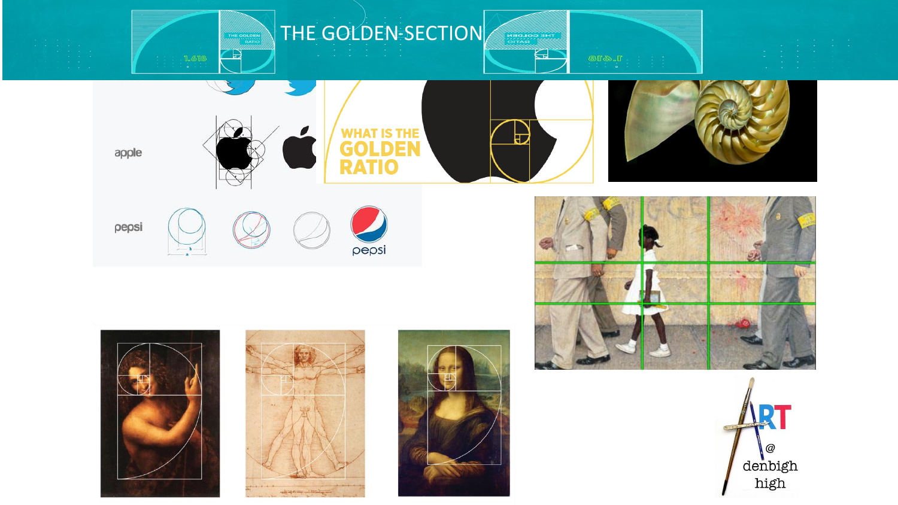